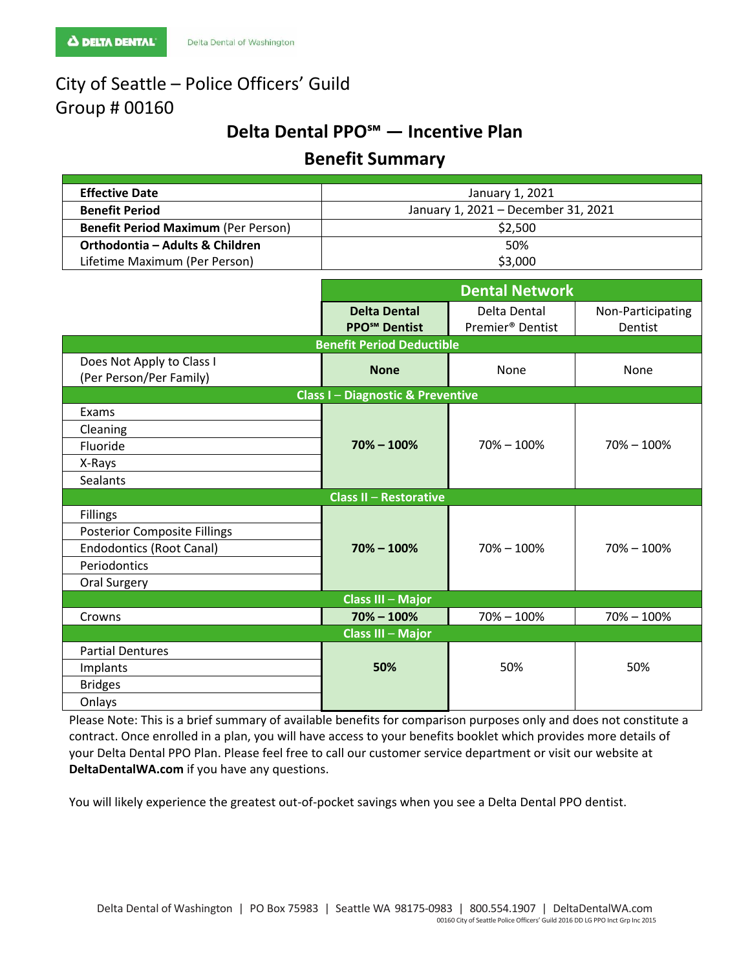# City of Seattle – Police Officers' Guild Group # 00160

# **Delta Dental PPO℠ — Incentive Plan**

# **Benefit Summary**

| <b>Effective Date</b>                      | January 1, 2021                     |  |  |
|--------------------------------------------|-------------------------------------|--|--|
| <b>Benefit Period</b>                      | January 1, 2021 - December 31, 2021 |  |  |
| <b>Benefit Period Maximum (Per Person)</b> | \$2.500                             |  |  |
| Orthodontia – Adults & Children            | 50%                                 |  |  |
| Lifetime Maximum (Per Person)              | \$3,000                             |  |  |

|                                                      | <b>Dental Network</b>                                  |                                              |                              |  |
|------------------------------------------------------|--------------------------------------------------------|----------------------------------------------|------------------------------|--|
|                                                      | <b>Delta Dental</b><br><b>PPO<sup>SM</sup></b> Dentist | Delta Dental<br>Premier <sup>®</sup> Dentist | Non-Participating<br>Dentist |  |
| <b>Benefit Period Deductible</b>                     |                                                        |                                              |                              |  |
| Does Not Apply to Class I<br>(Per Person/Per Family) | <b>None</b>                                            | None                                         | None                         |  |
| <b>Class I-Diagnostic &amp; Preventive</b>           |                                                        |                                              |                              |  |
| Exams                                                | $70\% - 100\%$                                         | $70\% - 100\%$                               | $70\% - 100\%$               |  |
| Cleaning                                             |                                                        |                                              |                              |  |
| Fluoride                                             |                                                        |                                              |                              |  |
| X-Rays                                               |                                                        |                                              |                              |  |
| Sealants                                             |                                                        |                                              |                              |  |
| <b>Class II - Restorative</b>                        |                                                        |                                              |                              |  |
| <b>Fillings</b>                                      | $70\% - 100\%$                                         | $70\% - 100\%$                               | $70\% - 100\%$               |  |
| <b>Posterior Composite Fillings</b>                  |                                                        |                                              |                              |  |
| <b>Endodontics (Root Canal)</b>                      |                                                        |                                              |                              |  |
| Periodontics                                         |                                                        |                                              |                              |  |
| Oral Surgery                                         |                                                        |                                              |                              |  |
| <b>Class III - Major</b>                             |                                                        |                                              |                              |  |
| Crowns                                               | $70\% - 100\%$                                         | $70\% - 100\%$                               | $70\% - 100\%$               |  |
| <b>Class III - Major</b>                             |                                                        |                                              |                              |  |
| <b>Partial Dentures</b>                              | 50%                                                    | 50%                                          | 50%                          |  |
| Implants                                             |                                                        |                                              |                              |  |
| <b>Bridges</b>                                       |                                                        |                                              |                              |  |
| Onlays                                               |                                                        |                                              |                              |  |

Please Note: This is a brief summary of available benefits for comparison purposes only and does not constitute a contract. Once enrolled in a plan, you will have access to your benefits booklet which provides more details of your Delta Dental PPO Plan. Please feel free to call our customer service department or visit our website at **DeltaDentalWA.com** if you have any questions.

You will likely experience the greatest out-of-pocket savings when you see a Delta Dental PPO dentist.